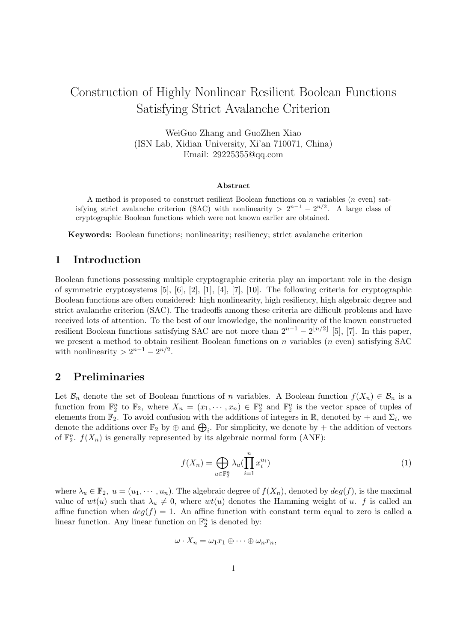# Construction of Highly Nonlinear Resilient Boolean Functions Satisfying Strict Avalanche Criterion

WeiGuo Zhang and GuoZhen Xiao (ISN Lab, Xidian University, Xi'an 710071, China) Email: 29225355@qq.com

#### Abstract

A method is proposed to construct resilient Boolean functions on n variables  $(n \text{ even})$  satisfying strict avalanche criterion (SAC) with nonlinearity  $> 2^{n-1} - 2^{n/2}$ . A large class of cryptographic Boolean functions which were not known earlier are obtained.

Keywords: Boolean functions; nonlinearity; resiliency; strict avalanche criterion

### 1 Introduction

Boolean functions possessing multiple cryptographic criteria play an important role in the design of symmetric cryptosystems [5], [6], [2], [1], [4], [7], [10]. The following criteria for cryptographic Boolean functions are often considered: high nonlinearity, high resiliency, high algebraic degree and strict avalanche criterion (SAC). The tradeoffs among these criteria are difficult problems and have received lots of attention. To the best of our knowledge, the nonlinearity of the known constructed resilient Boolean functions satisfying SAC are not more than  $2^{n-1} - 2^{\lfloor n/2 \rfloor}$  [5], [7]. In this paper, we present a method to obtain resilient Boolean functions on  $n$  variables  $(n$  even) satisfying SAC with nonlinearity  $> 2^{n-1} - 2^{n/2}$ .

### 2 Preliminaries

Let  $\mathcal{B}_n$  denote the set of Boolean functions of n variables. A Boolean function  $f(X_n) \in \mathcal{B}_n$  is a function from  $\mathbb{F}_2^n$  to  $\mathbb{F}_2$ , where  $X_n = (x_1, \dots, x_n) \in \mathbb{F}_2^n$  and  $\mathbb{F}_2^n$  is the vector space of tuples of elements from  $\mathbb{F}_2$ . To avoid confusion with the additions of integers in  $\mathbb{R}$ , denoted by + and  $\Sigma_i$ , we denote the additions over  $\mathbb{F}_2$  by  $\oplus$  and  $\bigoplus_i$ . For simplicity, we denote by + the addition of vectors of  $\mathbb{F}_2^n$ .  $f(X_n)$  is generally represented by its algebraic normal form (ANF):

$$
f(X_n) = \bigoplus_{u \in \mathbb{F}_2^n} \lambda_u \left(\prod_{i=1}^n x_i^{u_i}\right) \tag{1}
$$

where  $\lambda_u \in \mathbb{F}_2$ ,  $u = (u_1, \dots, u_n)$ . The algebraic degree of  $f(X_n)$ , denoted by  $deg(f)$ , is the maximal value of  $wt(u)$  such that  $\lambda_u \neq 0$ , where  $wt(u)$  denotes the Hamming weight of u. f is called an affine function when  $deg(f) = 1$ . An affine function with constant term equal to zero is called a linear function. Any linear function on  $\mathbb{F}_2^n$  is denoted by:

$$
\omega \cdot X_n = \omega_1 x_1 \oplus \cdots \oplus \omega_n x_n,
$$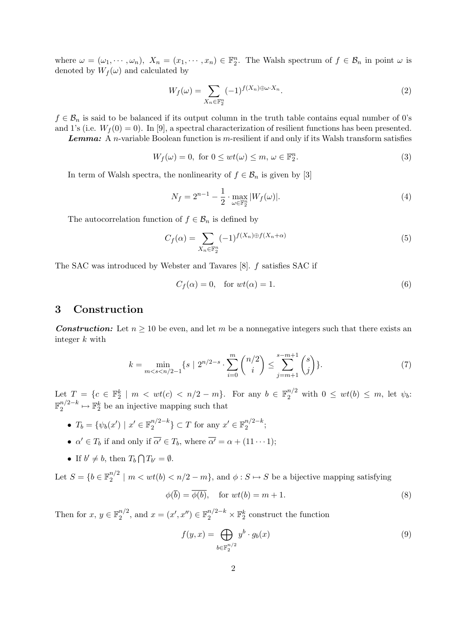where  $\omega = (\omega_1, \dots, \omega_n)$ ,  $X_n = (x_1, \dots, x_n) \in \mathbb{F}_2^n$ . The Walsh spectrum of  $f \in \mathcal{B}_n$  in point  $\omega$  is denoted by  $W_f(\omega)$  and calculated by

$$
W_f(\omega) = \sum_{X_n \in \mathbb{F}_2^n} (-1)^{f(X_n) \oplus \omega \cdot X_n}.
$$
 (2)

 $f \in \mathcal{B}_n$  is said to be balanced if its output column in the truth table contains equal number of 0's and 1's (i.e.  $W_f(0) = 0$ ). In [9], a spectral characterization of resilient functions has been presented.

**Lemma:** A n-variable Boolean function is  $m$ -resilient if and only if its Walsh transform satisfies

$$
W_f(\omega) = 0, \text{ for } 0 \le wt(\omega) \le m, \omega \in \mathbb{F}_2^n. \tag{3}
$$

In term of Walsh spectra, the nonlinearity of  $f \in \mathcal{B}_n$  is given by [3]

$$
N_f = 2^{n-1} - \frac{1}{2} \cdot \max_{\omega \in \mathbb{F}_2^n} |W_f(\omega)|.
$$
 (4)

The autocorrelation function of  $f \in \mathcal{B}_n$  is defined by

$$
C_f(\alpha) = \sum_{X_n \in \mathbb{F}_2^n} (-1)^{f(X_n) \oplus f(X_n + \alpha)} \tag{5}
$$

The SAC was introduced by Webster and Tavares [8]. f satisfies SAC if

$$
C_f(\alpha) = 0, \quad \text{for } wt(\alpha) = 1. \tag{6}
$$

### 3 Construction

**Construction:** Let  $n \geq 10$  be even, and let m be a nonnegative integers such that there exists an integer k with

$$
k = \min_{m < s < n/2 - 1} \{ s \mid 2^{n/2 - s} \cdot \sum_{i=0}^{m} \binom{n/2}{i} \le \sum_{j=m+1}^{s-m+1} \binom{s}{j} \}. \tag{7}
$$

Let  $T = \{c \in \mathbb{F}_2^k \mid m < wt(c) < n/2 - m\}$ . For any  $b \in \mathbb{F}_2^{n/2}$  with  $0 \leq wt(b) \leq m$ , let  $\psi_b$ :  $\mathbb{F}_2^{n/2-k}$  $2^{n/2-k} \mapsto \mathbb{F}_2^k$  be an injective mapping such that

- $T_b = \{ \psi_b(x') \mid x' \in \mathbb{F}_2^{n/2-k} \}$  $\binom{n}{2-k} \subset T$  for any  $x' \in \mathbb{F}_2^{n/2-k}$  $\frac{n}{2}^{2-\kappa};$
- $\alpha' \in T_b$  if and only if  $\overline{\alpha'} \in T_b$ , where  $\overline{\alpha'} = \alpha + (11 \cdots 1);$
- If  $b' \neq b$ , then  $T_b \bigcap$  $T_{b'} = \emptyset.$

Let  $S = \{b \in \mathbb{F}_2^{n/2} \}$  $\binom{n}{2}$  |  $m < wt(b) < n/2 - m$ }, and  $\phi : S \mapsto S$  be a bijective mapping satisfying

$$
\phi(\overline{b}) = \overline{\phi(b)}, \quad \text{for } wt(b) = m+1.
$$
\n(8)

Then for  $x, y \in \mathbb{F}_2^{n/2}$  $x_2^{n/2}$ , and  $x = (x', x'') \in \mathbb{F}_2^{n/2-k} \times \mathbb{F}_2^k$  construct the function

$$
f(y,x) = \bigoplus_{b \in \mathbb{F}_2^{n/2}} y^b \cdot g_b(x) \tag{9}
$$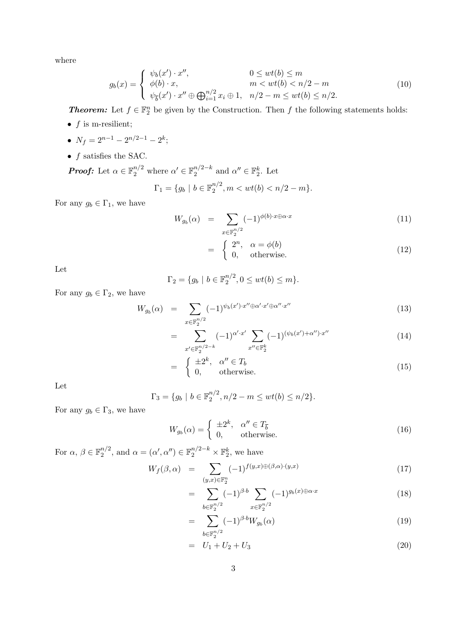where

$$
g_b(x) = \begin{cases} \psi_b(x') \cdot x'', & 0 \le wt(b) \le m \\ \phi(b) \cdot x, & m < wt(b) < n/2 - m \\ \psi_{\overline{b}}(x') \cdot x'' \oplus \bigoplus_{i=1}^{n/2} x_i \oplus 1, & n/2 - m \le wt(b) \le n/2. \end{cases}
$$
(10)

**Theorem:** Let  $f \in \mathbb{F}_2^n$  be given by the Construction. Then f the following statements holds:

- $f$  is m-resilient;
- $N_f = 2^{n-1} 2^{n/2-1} 2^k;$
- $\bullet$   $f$  satisfies the SAC.

**Proof:** Let 
$$
\alpha \in \mathbb{F}_2^{n/2}
$$
 where  $\alpha' \in \mathbb{F}_2^{n/2-k}$  and  $\alpha'' \in \mathbb{F}_2^k$ . Let  
\n
$$
\Gamma_1 = \{g_b \mid b \in \mathbb{F}_2^{n/2}, m < wt(b) < n/2 - m\}.
$$

For any  $g_b \in \Gamma_1$ , we have

$$
W_{g_b}(\alpha) = \sum_{x \in \mathbb{F}_2^{n/2}} (-1)^{\phi(b) \cdot x \oplus \alpha \cdot x} \tag{11}
$$

$$
= \begin{cases} 2^n, & \alpha = \phi(b) \\ 0, & \text{otherwise.} \end{cases}
$$
 (12)

Let

$$
\Gamma_2 = \{ g_b \mid b \in \mathbb{F}_2^{n/2}, 0 \le wt(b) \le m \}.
$$

For any  $g_b \in \Gamma_2$ , we have

$$
W_{g_b}(\alpha) = \sum_{x \in \mathbb{F}_2^{n/2}} (-1)^{\psi_b(x') \cdot x'' \oplus \alpha' \cdot x' \oplus \alpha'' \cdot x''}
$$
\n(13)

$$
= \sum_{x' \in \mathbb{F}_2^{n/2-k}} (-1)^{\alpha' \cdot x'} \sum_{x'' \in \mathbb{F}_2^k} (-1)^{(\psi_b(x') + \alpha'') \cdot x''}
$$
(14)

$$
= \begin{cases} \pm 2^k, & \alpha'' \in T_b \\ 0, & \text{otherwise.} \end{cases}
$$
 (15)

Let

$$
\Gamma_3 = \{ g_b \mid b \in \mathbb{F}_2^{n/2}, n/2 - m \le wt(b) \le n/2 \}.
$$

For any  $g_b \in \Gamma_3$ , we have

$$
W_{g_b}(\alpha) = \begin{cases} \pm 2^k, & \alpha'' \in T_{\overline{b}} \\ 0, & \text{otherwise.} \end{cases}
$$
 (16)

For  $\alpha, \beta \in \mathbb{F}_2^{n/2}$  $\mathbb{R}_2^{n/2}$ , and  $\alpha = (\alpha', \alpha'') \in \mathbb{F}_2^{n/2-k} \times \mathbb{F}_2^k$ , we have

$$
W_f(\beta, \alpha) = \sum_{(y,x) \in \mathbb{F}_2^n} (-1)^{f(y,x) \oplus (\beta, \alpha) \cdot (y,x)} \tag{17}
$$

$$
= \sum_{b \in \mathbb{F}_2^{n/2}} (-1)^{\beta \cdot b} \sum_{x \in \mathbb{F}_2^{n/2}} (-1)^{g_b(x) \oplus \alpha \cdot x} \tag{18}
$$

$$
= \sum_{b \in \mathbb{F}_2^{n/2}} (-1)^{\beta \cdot b} W_{g_b}(\alpha) \tag{19}
$$

$$
= U_1 + U_2 + U_3 \tag{20}
$$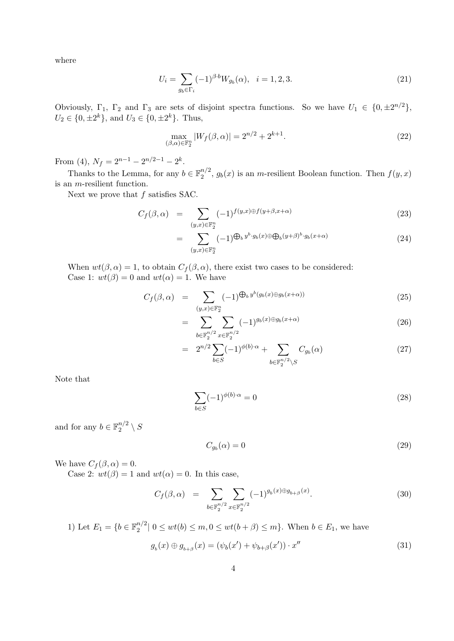where

$$
U_i = \sum_{g_b \in \Gamma_i} (-1)^{\beta \cdot b} W_{g_b}(\alpha), \quad i = 1, 2, 3. \tag{21}
$$

Obviously,  $\Gamma_1$ ,  $\Gamma_2$  and  $\Gamma_3$  are sets of disjoint spectra functions. So we have  $U_1 \in \{0, \pm 2^{n/2}\}\,$  $U_2 \in \{0, \pm 2^k\}$ , and  $U_3 \in \{0, \pm 2^k\}$ . Thus,

$$
\max_{(\beta,\alpha)\in\mathbb{F}_2^n} |W_f(\beta,\alpha)| = 2^{n/2} + 2^{k+1}.
$$
 (22)

From (4),  $N_f = 2^{n-1} - 2^{n/2-1} - 2^k$ .

Thanks to the Lemma, for any  $b \in \mathbb{F}_2^{n/2}$  $2^{n/2}$ ,  $g_b(x)$  is an *m*-resilient Boolean function. Then  $f(y, x)$ is an m-resilient function.

Next we prove that  $f$  satisfies SAC.

$$
C_f(\beta, \alpha) = \sum_{(y,x) \in \mathbb{F}_2^n} (-1)^{f(y,x) \oplus f(y+\beta, x+\alpha)} \tag{23}
$$

$$
= \sum_{\substack{(y,x)\in\mathbb{F}_2^n\\(y,x)\in\mathbb{F}_2^n}} (-1)^{\bigoplus_b y^b \cdot g_b(x)\oplus \bigoplus_b (y+\beta)^b \cdot g_b(x+\alpha)} \tag{24}
$$

When  $wt(\beta, \alpha) = 1$ , to obtain  $C_f(\beta, \alpha)$ , there exist two cases to be considered: Case 1:  $wt(\beta) = 0$  and  $wt(\alpha) = 1$ . We have

$$
C_f(\beta, \alpha) = \sum_{(y,x) \in \mathbb{F}_2^n} (-1)^{\bigoplus_b y^b(g_b(x) \oplus g_b(x+\alpha))} \tag{25}
$$

$$
= \sum_{b \in \mathbb{F}_2^{n/2}} \sum_{x \in \mathbb{F}_2^{n/2}} (-1)^{g_b(x) \oplus g_b(x+\alpha)} \tag{26}
$$

$$
= 2^{n/2} \sum_{b \in S} (-1)^{\phi(b)\cdot\alpha} + \sum_{b \in \mathbb{F}_2^{n/2} \setminus S} C_{g_b}(\alpha) \tag{27}
$$

Note that

$$
\sum_{b \in S} (-1)^{\phi(b)\cdot \alpha} = 0 \tag{28}
$$

and for any  $b \in \mathbb{F}_2^{n/2}$  $\frac{n/2}{2} \setminus S$ 

$$
C_{g_b}(\alpha) = 0 \tag{29}
$$

 $(31)$ 

We have  $C_f(\beta, \alpha) = 0$ .

Case 2:  $wt(\beta) = 1$  and  $wt(\alpha) = 0$ . In this case,

$$
C_f(\beta, \alpha) = \sum_{b \in \mathbb{F}_2^{n/2}} \sum_{x \in \mathbb{F}_2^{n/2}} (-1)^{g_b(x) \oplus g_{b+\beta}(x)}.
$$
 (30)

1) Let 
$$
E_1 = \{b \in \mathbb{F}_2^{n/2} | 0 \le wt(b) \le m, 0 \le wt(b + \beta) \le m\}
$$
. When  $b \in E_1$ , we have  

$$
g_b(x) \oplus g_{b+\beta}(x) = (\psi_b(x') + \psi_{b+\beta}(x')) \cdot x''
$$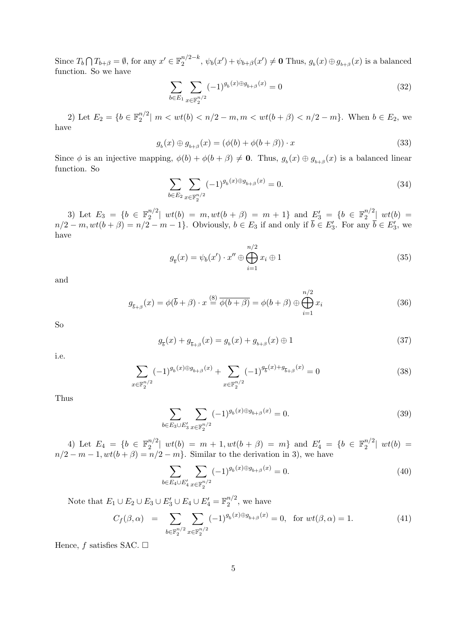Since  $T_b$  $\overline{a}$  $T_{b+\beta} = \emptyset$ , for any  $x' \in \mathbb{F}_2^{n/2-k}$  $2^{n/2-k}$ ,  $\psi_b(x') + \psi_{b+\beta}(x') \neq \mathbf{0}$  Thus,  $g_b(x) \oplus g_{b+\beta}(x)$  is a balanced function. So we have

$$
\sum_{b \in E_1} \sum_{x \in \mathbb{F}_2^{n/2}} (-1)^{g_b(x) \oplus g_{b+\beta}(x)} = 0
$$
\n(32)

2) Let  $E_2 = \{b \in \mathbb{F}_2^{n/2} \}$  $\binom{n}{2}$  |  $m < wt(b) < n/2 - m, m < wt(b + \beta) < n/2 - m$ }. When  $b \in E_2$ , we have

$$
g_b(x) \oplus g_{b+\beta}(x) = (\phi(b) + \phi(b+\beta)) \cdot x \tag{33}
$$

Since  $\phi$  is an injective mapping,  $\phi(b) + \phi(b + \beta) \neq 0$ . Thus,  $g_b(x) \oplus g_{b+\beta}(x)$  is a balanced linear function. So

$$
\sum_{b \in E_2} \sum_{x \in \mathbb{F}_2^{n/2}} (-1)^{g_b(x) \oplus g_{b+\beta}(x)} = 0.
$$
\n(34)

3) Let  $E_3 = \{b \in \mathbb{F}_2^{n/2} \}$  $\binom{n/2}{2}$  wt(b) = m, wt(b +  $\beta$ ) = m + 1} and  $\binom{E_3'}{E_3'} = \{b \in \mathbb{F}_2^{n/2}\}$  $\int_2^{n/2}$   $wt(b)$  =  $n/2 - m, wt(b + \beta) = n/2 - m - 1$ . Obviously,  $b \in E_3$  if and only if  $\overline{b} \in E'_3$ . For any  $\overline{b} \in E'_3$ , we have

$$
g_{\overline{b}}(x) = \psi_b(x') \cdot x'' \oplus \bigoplus_{i=1}^{n/2} x_i \oplus 1
$$
\n(35)

and

$$
g_{\overline{b}+\beta}(x) = \phi(\overline{b}+\beta) \cdot x \stackrel{(8)}{=} \overline{\phi(b+\beta)} = \phi(b+\beta) \oplus \bigoplus_{i=1}^{n/2} x_i
$$
\n(36)

So

$$
g_{\bar{b}}(x) + g_{\bar{b}+\beta}(x) = g_b(x) + g_{b+\beta}(x) \oplus 1
$$
\n(37)

i.e.

$$
\sum_{x \in \mathbb{F}_2^{n/2}} (-1)^{g_b(x) \oplus g_{b+\beta}(x)} + \sum_{x \in \mathbb{F}_2^{n/2}} (-1)^{g_{\overline{b}}(x) + g_{\overline{b}+\beta}(x)} = 0
$$
\n(38)

Thus

$$
\sum_{b \in E_3 \cup E'_3} \sum_{x \in \mathbb{F}_2^{n/2}} (-1)^{g_b(x) \oplus g_{b+\beta}(x)} = 0.
$$
 (39)

4) Let  $E_4 = \{b \in \mathbb{F}_2^{n/2} \}$  $\binom{n/2}{2}$   $wt(b) = m + 1, wt(b + \beta) = m$  and  $E'_4 = \{b \in \mathbb{F}_2^{n/2}\}$  $2^{n/2}$   $wt(b) =$  $n/2 - m - 1, wt(b + \beta) = n/2 - m$ . Similar to the derivation in 3), we have

$$
\sum_{b \in E_4 \cup E_4'} \sum_{x \in \mathbb{F}_2^{n/2}} (-1)^{g_b(x) \oplus g_{b+\beta}(x)} = 0.
$$
\n(40)

Note that  $E_1 \cup E_2 \cup E_3 \cup E'_3 \cup E_4 \cup E'_4 = \mathbb{F}_2^{n/2}$  $\frac{n}{2}$ , we have

$$
C_f(\beta, \alpha) = \sum_{b \in \mathbb{F}_2^{n/2}} \sum_{x \in \mathbb{F}_2^{n/2}} (-1)^{g_b(x) \oplus g_{b+\beta}(x)} = 0, \text{ for } wt(\beta, \alpha) = 1.
$$
 (41)

Hence, f satisfies SAC.  $\square$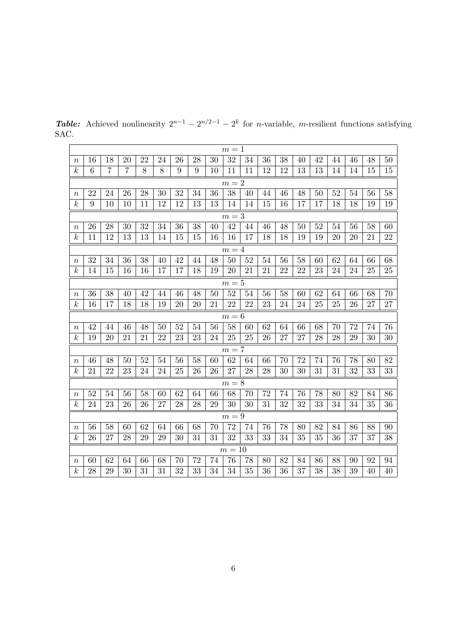|                  | $m=1$ |    |                |    |    |    |    |    |          |    |    |    |    |    |    |    |    |    |
|------------------|-------|----|----------------|----|----|----|----|----|----------|----|----|----|----|----|----|----|----|----|
| $\it{n}$         | 16    | 18 | 20             | 22 | 24 | 26 | 28 | 30 | 32       | 34 | 36 | 38 | 40 | 42 | 44 | 46 | 48 | 50 |
| $\boldsymbol{k}$ | 6     | 7  | $\overline{7}$ | 8  | 8  | 9  | 9  | 10 | 11       | 11 | 12 | 12 | 13 | 13 | 14 | 14 | 15 | 15 |
|                  | $m=2$ |    |                |    |    |    |    |    |          |    |    |    |    |    |    |    |    |    |
| $\, n \,$        | 22    | 24 | 26             | 28 | 30 | 32 | 34 | 36 | 38       | 40 | 44 | 46 | 48 | 50 | 52 | 54 | 56 | 58 |
| $\boldsymbol{k}$ | 9     | 10 | 10             | 11 | 12 | 12 | 13 | 13 | 14       | 14 | 15 | 16 | 17 | 17 | 18 | 18 | 19 | 19 |
|                  | $m=3$ |    |                |    |    |    |    |    |          |    |    |    |    |    |    |    |    |    |
| $\it{n}$         | 26    | 28 | 30             | 32 | 34 | 36 | 38 | 40 | 42       | 44 | 46 | 48 | 50 | 52 | 54 | 56 | 58 | 60 |
| $\boldsymbol{k}$ | 11    | 12 | 13             | 13 | 14 | 15 | 15 | 16 | 16       | 17 | 18 | 18 | 19 | 19 | 20 | 20 | 21 | 22 |
|                  | $m=4$ |    |                |    |    |    |    |    |          |    |    |    |    |    |    |    |    |    |
| $\, n \,$        | 32    | 34 | 36             | 38 | 40 | 42 | 44 | 48 | 50       | 52 | 54 | 56 | 58 | 60 | 62 | 64 | 66 | 68 |
| $\boldsymbol{k}$ | 14    | 15 | 16             | 16 | 17 | 17 | 18 | 19 | 20       | 21 | 21 | 22 | 22 | 23 | 24 | 24 | 25 | 25 |
|                  | $m=5$ |    |                |    |    |    |    |    |          |    |    |    |    |    |    |    |    |    |
| $\it n$          | 36    | 38 | 40             | 42 | 44 | 46 | 48 | 50 | 52       | 54 | 56 | 58 | 60 | 62 | 64 | 66 | 68 | 70 |
| $\boldsymbol{k}$ | 16    | 17 | 18             | 18 | 19 | 20 | 20 | 21 | 22       | 22 | 23 | 24 | 24 | 25 | 25 | 26 | 27 | 27 |
|                  | $m=6$ |    |                |    |    |    |    |    |          |    |    |    |    |    |    |    |    |    |
| $\it{n}$         | 42    | 44 | 46             | 48 | 50 | 52 | 54 | 56 | 58       | 60 | 62 | 64 | 66 | 68 | 70 | 72 | 74 | 76 |
| $\boldsymbol{k}$ | 19    | 20 | 21             | 21 | 22 | 23 | 23 | 24 | 25       | 25 | 26 | 27 | 27 | 28 | 28 | 29 | 30 | 30 |
|                  |       |    |                |    |    |    |    |    | $m=7$    |    |    |    |    |    |    |    |    |    |
| $\it{n}$         | 46    | 48 | 50             | 52 | 54 | 56 | 58 | 60 | 62       | 64 | 66 | 70 | 72 | 74 | 76 | 78 | 80 | 82 |
| $\boldsymbol{k}$ | 21    | 22 | 23             | 24 | 24 | 25 | 26 | 26 | 27       | 28 | 28 | 30 | 30 | 31 | 31 | 32 | 33 | 33 |
|                  |       |    |                |    |    |    |    |    | $m=8$    |    |    |    |    |    |    |    |    |    |
| $\, n \,$        | 52    | 54 | 56             | 58 | 60 | 62 | 64 | 66 | 68       | 70 | 72 | 74 | 76 | 78 | 80 | 82 | 84 | 86 |
| $\boldsymbol{k}$ | 24    | 23 | 26             | 26 | 27 | 28 | 28 | 29 | 30       | 30 | 31 | 32 | 32 | 33 | 34 | 34 | 35 | 36 |
|                  |       |    |                |    |    |    |    |    | $m=9\,$  |    |    |    |    |    |    |    |    |    |
| $\boldsymbol{n}$ | 56    | 58 | 60             | 62 | 64 | 66 | 68 | 70 | 72       | 74 | 76 | 78 | 80 | 82 | 84 | 86 | 88 | 90 |
| $\boldsymbol{k}$ | 26    | 27 | 28             | 29 | 29 | 30 | 31 | 31 | 32       | 33 | 33 | 34 | 35 | 35 | 36 | 37 | 37 | 38 |
|                  |       |    |                |    |    |    |    |    | $m=10\,$ |    |    |    |    |    |    |    |    |    |
| $\it n$          | 60    | 62 | 64             | 66 | 68 | 70 | 72 | 74 | 76       | 78 | 80 | 82 | 84 | 86 | 88 | 90 | 92 | 94 |
| $\boldsymbol{k}$ | 28    | 29 | 30             | 31 | 31 | 32 | 33 | 34 | 34       | 35 | 36 | 36 | 37 | 38 | 38 | 39 | 40 | 40 |

**Table:** Achieved nonlinearity  $2^{n-1} - 2^{n/2-1} - 2^k$  for *n*-variable, *m*-resilient functions satisfying SAC.